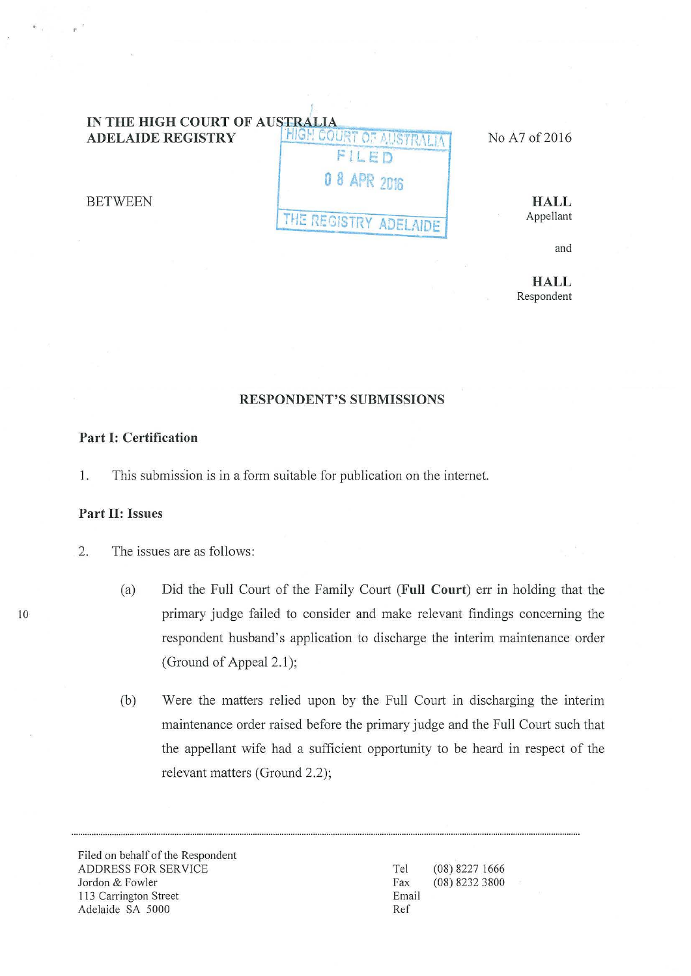# **IN THE HIGH COURT OF AUSTRALIA<br>ADELAIDE REGISTRY FRIENCO HIGH COURT OF ALISTRALIA ...** No A7 of 2016 **FlLE:D 0** *8* **APR 2Ui6 THE REGISTRY ADELAIDE**

**HALL**  Appellant

and

**HALL**  Respondent

# **RESPONDENT'S SUBMISSIONS**

## **Part I: Certification**

1. This submission is in a form suitable for publication on the intemet.

### **Part II: Issues**

**BETWEEN** 

- 2. The issues are as follows:
	- (a) Did the Full Court of the Family Court (Full Court) err in holding that the primary judge failed to consider and make relevant findings concerning the respondent husband's application to discharge the interim maintenance order (Ground of Appeal  $2.1$ );
	- (b) Were the matters relied upon by the Full Court in discharging the interim maintenance order raised before the primary judge and the Full Court such that the appellant wife had a sufficient opportunity to be heard in respect of the relevant matters (Ground 2.2);

Filed on behalf of the Respondent ADDRESS FOR SERVICE Jordon & Fowler 113 Carrington Street Adelaide SA 5000

Tel Fax Email Ref (08) 8227 1666 (08) 8232 3800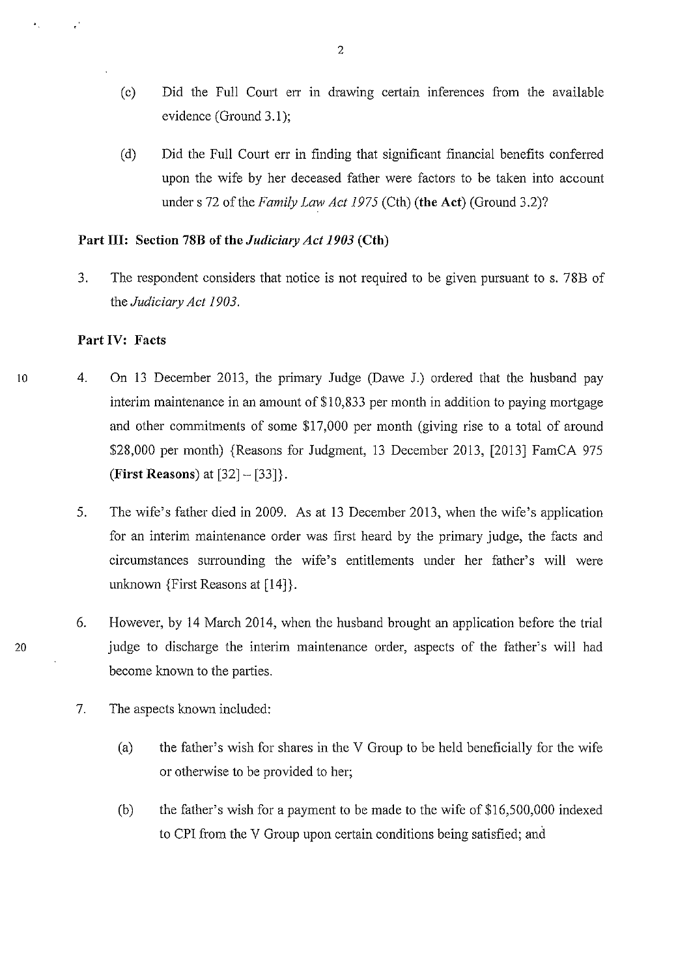- (c) Did the Full Court err in drawing certain inferences from the available evidence (Ground 3.1);
- (d) Did the Full Court err in finding that significant financial benefits conferred upon the wife by her deceased father were factors to be taken into account under s 72 of the *Family Law Act 1975* (Cth) **(the Act)** (Ground 3.2)?

## **Part Ill: Section 78B of the** *Judicimy Act1903* **(Cth)**

3. The respondent considers that notice is not required to be given pursuant to s. 78B of the *Judiciary Act 1903.* 

#### **Part IV: Facts**

- 4. On 13 December 2013, the primary Judge (Dawe J.) ordered that the husband pay interim maintenance in an amount of \$10,833 per month in addition to paying mortgage and other commitments of some \$17,000 per month (giving rise to a total of around \$28,000 per month) {Reasons for Judgment, 13 December 2013, [2013] FamCA 975 **(First Reasons)** at [32]- [33]}.
	- 5. The wife's father died in 2009. As at 13 December 2013, when the wife's application for an interim maintenance order was first heard by the primary judge, the facts and circumstances surrounding the wife's entitlements under her father's will were unknown {First Reasons at [14]}.
- 6. However, by 14 March 2014, when the husband brought an application before the trial 20 judge to discharge the interim maintenance order, aspects of the father's will had become known to the parties.
	- 7. The aspects known included:
		- (a) the father's wish for shares in the V Group to be held beneficially for the wife or otherwise to be provided to her;
		- (b) the father's wish for a payment to be made to the wife of \$16,500,000 indexed to CPI from the V Group upon certain conditions being satisfied; and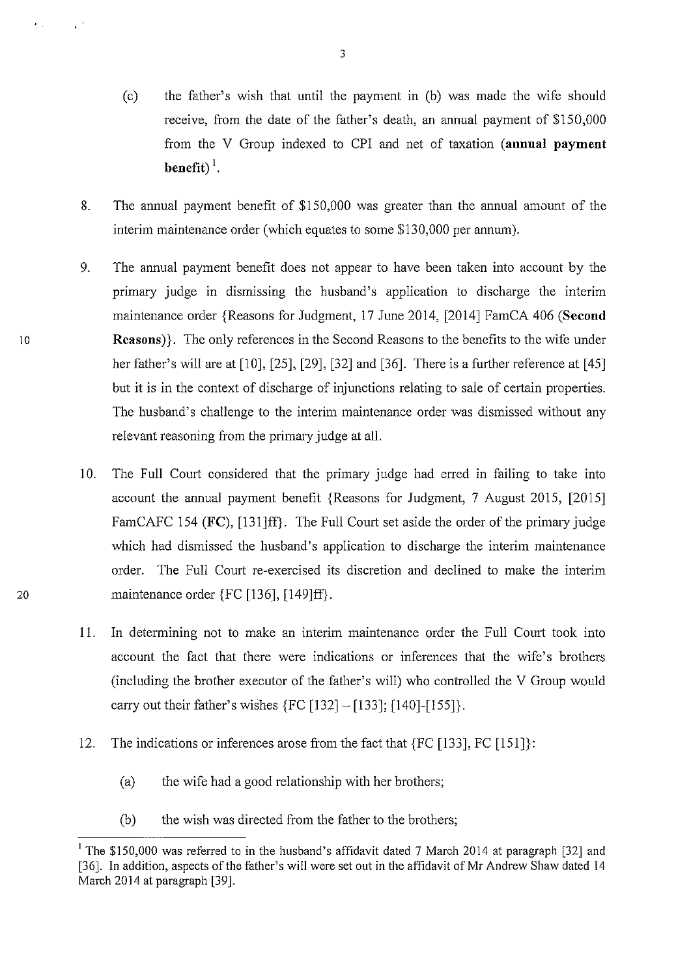- (c) the father's wish that until the payment in (b) was made the wife should receive, from the date of the father's death, an annual payment of \$150,000 from the V Group indexed to CPI and net of taxation **(annual payment benefit)**<sup>1</sup>.
- 8. The annual payment benefit of \$150,000 was greater than the annual amount of the interim maintenance order (which equates to some \$130,000 per annum).
- 9. The annual payment benefit does not appear to have been taken into account by the primary judge in dismissing the husband's application to discharge the interim maintenance order {Reasons for Judgment, 17 June 2014, [2014] FamCA 406 **(Second Reasons)}.** The only references in the Second Reasons to the benefits to the wife under her father's will are at  $[10]$ ,  $[25]$ ,  $[29]$ ,  $[32]$  and  $[36]$ . There is a further reference at  $[45]$ but it is in the context of discharge of injunctions relating to sale of certain properties. The husband's challenge to the interim maintenance order was dismissed without any relevant reasoning from the primary judge at all.

- 10. The Full Court considered that the primary judge had erred in failing to take into account the annual payment benefit {Reasons for Judgment, 7 August 2015, [2015] FamCAFC 154 (FC), [131]ff}. The Full Court set aside the order of the primary judge which had dismissed the husband's application to discharge the interim maintenance order. The Full Court re-exercised its discretion and declined to make the interim 20 maintenance order {FC [136], [149]ff}.
	- 11. In determining not to make an interim maintenance order the Full Court took into account the fact that there were indications or inferences that the wife's brothers (including the brother executor of the father's will) who controlled the V Group would carry out their father's wishes  ${FC}$  [132] - [133]; [140]-[155]}.
	- 12. The indications or inferences arose from the fact that {FC [133], FC [151]}:
		- (a) the wife had a good relationship with her brothers;
		- (b) the wish was directed from the father to the brothers;

<sup>&</sup>lt;sup>1</sup> The \$150,000 was referred to in the husband's affidavit dated 7 March 2014 at paragraph [32] and [36]. In addition, aspects of the father's will were set out in the affidavit of Mr Andrew Shaw dated 14 March 2014 at paragraph [39].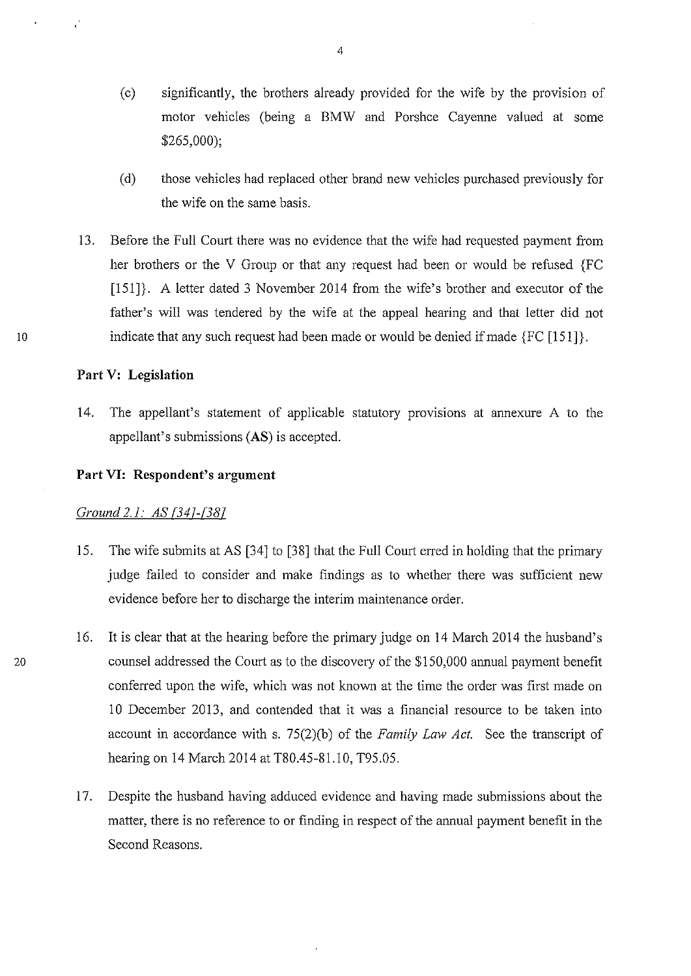- (c) significantly, the brothers already provided for the wife by the provision of motor vehicles (being a BMW and Porshce Cayenne valued at some \$265,000);
- (d) those vehicles had replaced other brand new vehicles purchased previously for the wife on the same basis.
- 13. Before the Full Court there was no evidence that the wife had requested payment from her brothers or the V Group or that any request had been or would be refused {FC  $[151]$ . A letter dated 3 November 2014 from the wife's brother and executor of the father's will was tendered by the wife at the appeal hearing and that letter did not indicate that any such request had been made or would be denied if made {FC [151]}.

### **Part V: Legislation**

14. The appellant's statement of applicable statutory provisions at annexure A to the appellant's submissions (AS) is accepted.

#### **Part VI: Respondent's argument**

#### *Ground 2.1: AS [347-{387*

- 15. The wife submits at AS [34] to [38] that the Full Court erred in holding that the primary judge failed to consider and make findings as to whether there was sufficient new evidence before her to discharge the interim maintenance order.
- 16. It is clear that at the hearing before the primary judge on 14 March 2014 the husband's 20 counsel addressed the Court as to the discovery of the \$150,000 annual payment benefit conferred upon the wife, which was not known at the time the order was first made on 10 December 2013, and contended that it was a financial resource to be taken into account in accordance with s. 75(2)(b) of the *Family Law Act.* See the transcript of hearing on 14 March 2014 at T80.45-81.10, T95.05.
	- 17. Despite the husband having adduced evidence and having made submissions about the matter, there is no reference to or finding in respect of the annual payment benefit in the Second Reasons.

4

10

 $\ddot{\phantom{a}}$ 

 $\cdot$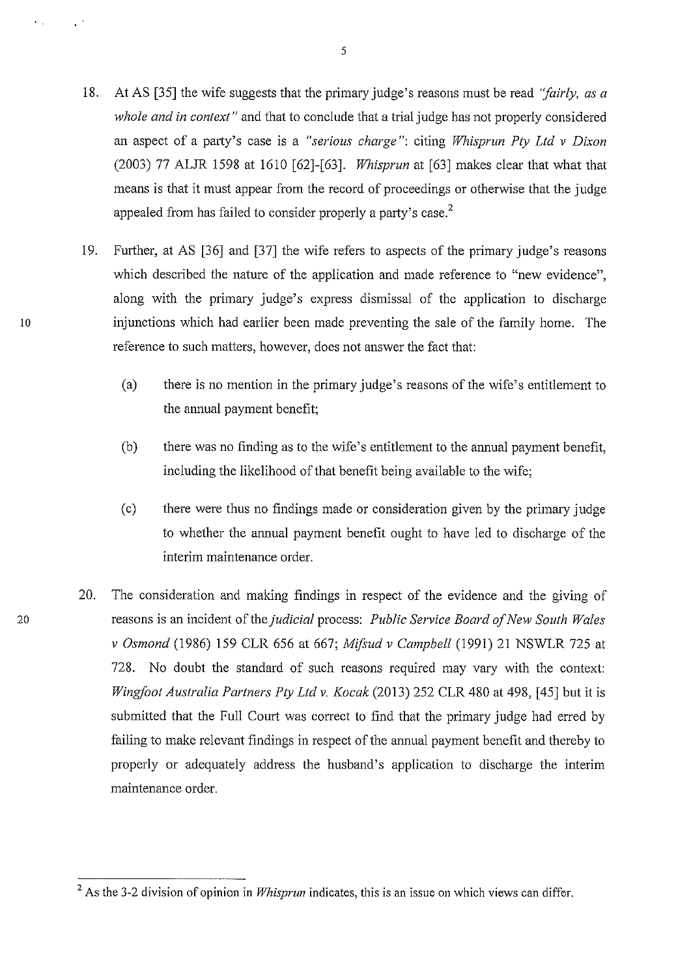- 18. At AS [35] the wife suggests that the primary judge's reasons must be read *"fairly, as a whole and in context"* and that to conclude that a trial judge has not properly considered an aspect of a party's case is a *"serious charge":* citing *Whisprun Pty Ltd v Dixon*  (2003) 77 ALJR 1598 at 1610 [62]-[63]. *Whisprun* at [63] makes clear that what that means is that it must appear from the record of proceedings or otherwise that the judge appealed from has failed to consider properly a party's case.<sup>2</sup>
- 19. Further, at AS [36] and [37] the wife refers to aspects of the primary judge's reasons which described the nature of the application and made reference to "new evidence", along with the primary judge's express dismissal of the application to discharge injunctions which had earlier been made preventing the sale of the family home. The reference to such matters, however, does not answer the fact that:
	- (a) there is no mention in the primary judge's reasons of the wife's entitlement to the annual payment benefit;
	- (b) there was no finding as to the wife's entitlement to the annual payment benefit, including the likelihood of that benefit being available to the wife;
	- (c) there were thus no findings made or consideration given by the primary judge to whether the annual payment benefit ought to have led to discharge of the interim maintenance order.
- 20. The consideration and making findings in respect of the evidence and the giving of 20 reasons is an incident of the *judicial* process: *Public Service Board of New South Wales v Osmond* (1986) 159 CLR 656 at 667; *Mifsud v Campbell* (1991) 21 NSWLR 725 at 728. No doubt the standard of such reasons required may vary with the context: *Wingfoot Australia Partners Pty Ltd v. Kocak* (2013) 252 CLR 480 at 498, [45] but it is submitted that the Full Court was conect to find that the primary judge had erred by failing to make relevant findings in respect of the annual payment benefit and thereby to properly or adequately address the husband's application to discharge the interim maintenance order.

 $\sim 10^4$ 

 $\epsilon_{\rm{max}}$ 

<sup>&</sup>lt;sup>2</sup> As the 3-2 division of opinion in *Whisprun* indicates, this is an issue on which views can differ.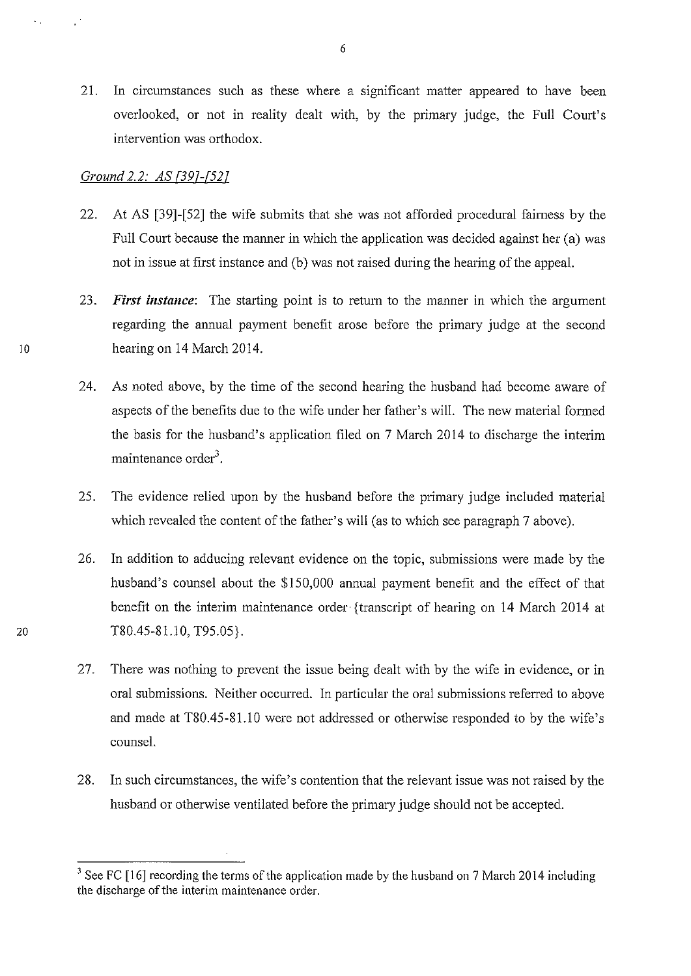21. In circumstances such as these where a significant matter appeared to have been overlooked, or not in reality dealt with, by the primary judge, the Full Court's intervention was orthodox.

#### *Ground 2.2: AS {397-[527*

- 22. At AS [39]-[52] the wife submits that she was not afforded procedural fairness by the Full Court because the manner in which the application was decided against her (a) was not in issue at first instance and (b) was not raised during the hearing of the appeal.
- 23. *First instance:* The starting point is to return to the manner in which the argument regarding the annual payment benefit arose before the primary judge at the second 10 hearing on 14 March 2014.
	- 24. As noted above, by the time of the second hearing the husband had become aware of aspects of the benefits due to the wife under her father's will. The new material formed the basis for the husband's application filed on 7 March 2014 to discharge the interim maintenance order<sup>3</sup>.
	- 25. The evidence relied upon by the husband before the primary judge included material which revealed the content of the father's will (as to which see paragraph 7 above).
- 26. In addition to adducing relevant evidence on the topic, submissions were made by the husband's counsel about the \$150,000 annual payment benefit and the effect of that benefit on the interim maintenance order {transcript of hearing on 14 March 2014 at 20 T80.45-81.10, T95.05}.
	- 27. There was nothing to prevent the issue being dealt with by the wife in evidence, or in oral submissions. Neither occurred. In particular the oral submissions referred to above and made at T80.45-81.10 were not addressed or otherwise responded to by the wife's counsel.
	- 28. In such circumstances, the wife's contention that the relevant issue was not raised by the husband or otherwise ventilated before the primary judge should not be accepted.

 $\sim$   $\sim$ 

 $3$  See FC [16] recording the terms of the application made by the husband on 7 March 2014 including the discharge of the interim maintenance order.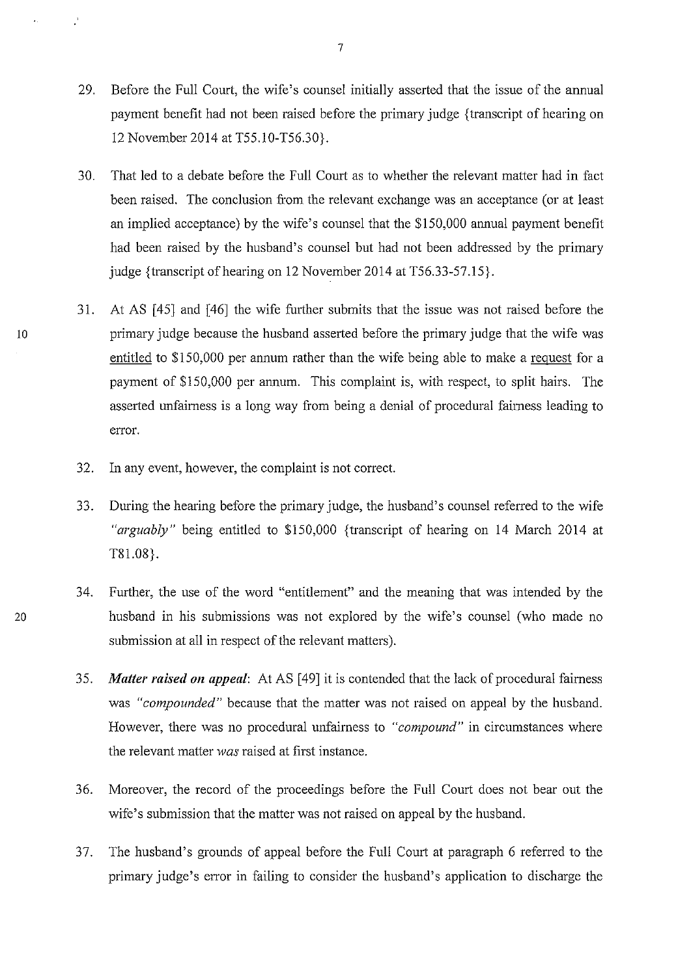- 29. Before the Full Court, the wife's counsel initially asserted that the issue of the annual payment benefit had not been raised before the primary judge {transcript of hearing on 12 November 2014 at T55.10-T56.30}.
- 30. That led to a debate before the Full Court as to whether the relevant matter had in fact been raised. The conclusion from the relevant exchange was an acceptance (or at least an implied acceptance) by the wife's counsel that the \$150,000 annual payment benefit had been raised by the husband's counsel but had not been addressed by the primary judge {transcript of hearing on 12 November 2014 at T56.33-57.15}.
- 31. At AS [45] and [46] the wife further submits that the issue was not raised before the 10 primary judge because the husband asserted before the primary judge that the wife was entitled to \$150,000 per annum rather than the wife being able to make a reguest for a payment of \$150,000 per annum. This complaint is, with respect, to split hairs. The asserted unfairness is a long way from being a denial of procedural fairness leading to error.
	- 32. In any event, however, the complaint is not correct.
	- 33. During the hearing before the primary judge, the husband's counsel referred to the wife *"arguably"* being entitled to \$150,000 {transcript of hearing on 14 March 2014 at T81.08}.
- 34. Further, the use of the word "entitlement" and the meaning that was intended by the 20 husband in his submissions was not explored by the wife's counsel (who made no submission at all in respect of the relevant matters).
	- 35. *Matter raised on appeal:* At AS [49] it is contended that the lack of procedural fairness was *"compounded"* because that the matter was not raised on appeal by the husband. However, there was no procedural unfairness to *"compound"* in circumstances where the relevant matter *was* raised at first instance.
	- 36. Moreover, the record of the proceedings before the Full Court does not bear out the wife's submission that the matter was not raised on appeal by the husband.
	- 3 7. The husband's grounds of appeal before the Full Court at paragraph 6 referred to the primary judge's error in failing to consider the husband's application to discharge the

 $\mathbf{r}_i$ 

 $\ddot{\cdot}$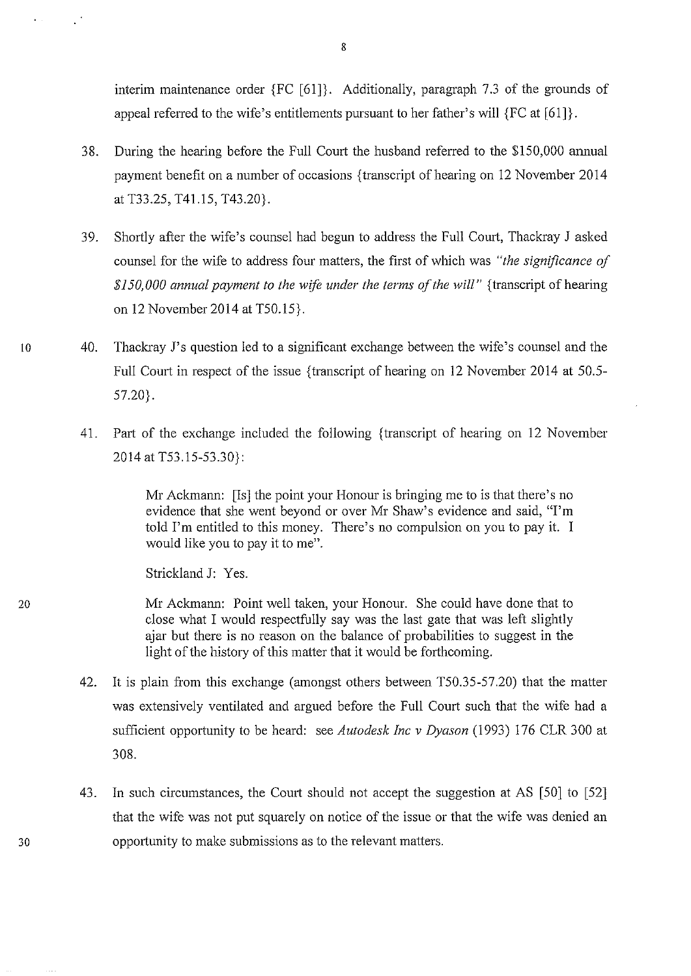interim maintenance order {FC [61]}. Additionally, paragraph 7.3 of the grounds of appeal referred to the wife's entitlements pursuant to her father's will {FC at [61]}.

- 38. During the hearing before the Full Court the husband referred to the \$150,000 annual payment benefit on a number of occasions {transcript of hearing on 12 November 2014 at T33.25, T41.15, T43.20}.
- 39. Shortly after the wife's counsel had begun to address the Full Comt, Thackray J asked counsel for the wife to address four matters, the first of which was *"the significance of \$150,000 annual payment to the wife under the terms of the will"* {transcript of hearing on 12 November 2014 at T50.15}.
- 10 40. Thackray J's question led to a significant exchange between the wife's counsel and the Full Court in respect of the issue {transcript of hearing on 12 November 2014 at 50.5-57.20}.
	- 41. Part of the exchange included the following {transcript of hearing on 12 November 2014 at T53.15-53.30}:

Mr Ackmann: [Is] the point your Honour is bringing me to is that there's no evidence that she went beyond or over Mr Shaw's evidence and said, "I'm told I'm entitled to this money. There's no compulsion on you to pay it. I would like you to pay it to me".

Strickland J: Yes.

 $\mathcal{L}^2$ 

 $\mathbf{r}^{\mathrm{max}}$ 

20 Mr Ackmann: Point well taken, your Honour. She could have done that to close what I would respectfully say was the last gate that was left slightly ajar but there is no reason on the balance of probabilities to suggest in the light of the history of this matter that it would be forthcoming.

- 42. It is plain from this exchange (amongst others between T50.35-57.20) that the matter was extensively ventilated and argued before the Full Court such that the wife had a sufficient opportunity to be heard: see *Autodesk !ne v Dyason* (1993) 176 CLR 300 at 308.
- 43. In such circumstances, the Court should not accept the suggestion at AS [50] to [52] that the wife was not put squarely on notice of the issue or that the wife was denied an opportunity to make submissions as to the relevant matters.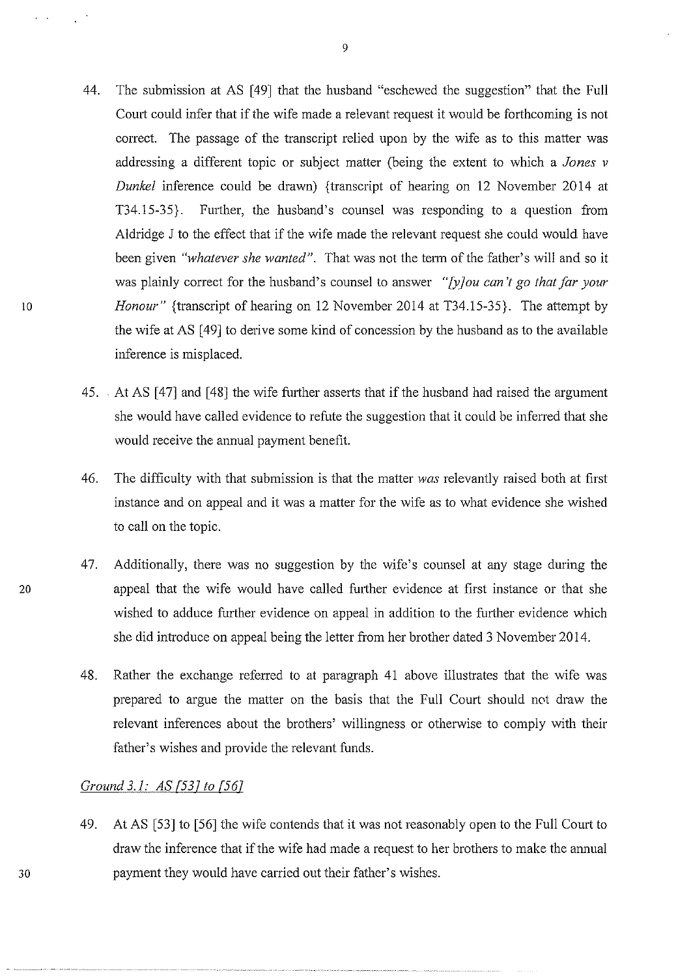- 44. The submission at AS [49] that the husband "eschewed the suggestion" that the Full Court could infer that if the wife made a relevant request it would be forthcoming is not correct. The passage of the transcript relied upon by the wife as to this matter was addressing a different topic or subject matter (being the extent to which a *Jones v Dunkel* inference could be drawn) {transcript of hearing on 12 November 2014 at T34.15-35}. Further, the husband's counsel was responding to a question from Aldridge J to the effect that if the wife made the relevant request she could would have been given *"whatever she wanted".* That was not the term of the father's will and so it was plainly correct for the husband's counsel to answer *"[y]ou can't go that far your Honour"* {transcript of hearing on 12 November 2014 at T34.15-35}. The attempt by the wife at AS [49] to derive some kind of concession by the husband as to the available inference is misplaced.
- 45. At AS [47] and [48] the wife further asserts that if the husband had raised the argument she would have called evidence to refute the suggestion that it could be inferred that she would receive the annual payment benefit.
- 46. The difficulty with that submission is that the matter *was* relevantly raised both at first instance and on appeal and it was a matter for the wife as to what evidence she wished to call on the topic.
- 47. Additionally, there was no suggestion by the wife's counsel at any stage during the 20 appeal that the wife would have called futiher evidence at first instance or that she wished to adduce further evidence on appeal in addition to the further evidence which she did introduce on appeal being the letter from her brother dated 3 November 2014.
	- 48. Rather the exchange referred to at paragraph 41 above illustrates that the wife was prepared to argue the matter on the basis that the Full Court should not draw the relevant inferences about the brothers' willingness or otherwise to comply with their father's wishes and provide the relevant funds.

# *Ground 3.1: AS [537 to [567*

49. At AS [53] to [56] the wife contends that it was not reasonably open to the Full Court to draw the inference that if the wife had made a request to her brothers to make the annual payment they would have carried out their father's wishes.

30

10

 $\mathbf{r}$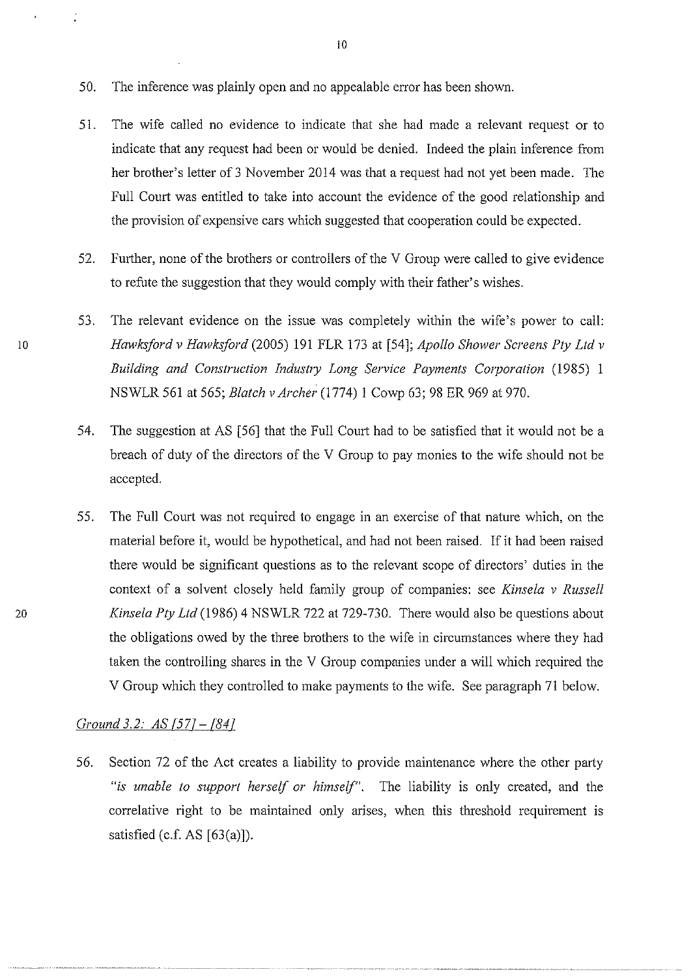- 50. The inference was plainly open and no appealable error has been shown.
- 51. The wife called no evidence to indicate that she had made a relevant request or to indicate that any request had been or would be denied. Indeed the plain inference from her brother's letter of 3 November 2014 was that a request had not yet been made. The Full Court was entitled to take into account the evidence of the good relationship and the provision of expensive cars which suggested that cooperation could be expected.
- 52. Further, none of the brothers or controllers of the V Group were called to give evidence to refute the suggestion that they would comply with their father's wishes.
- 53. The relevant evidence on the issue was completely within the wife's power to call: <sup>10</sup>*Hawksford v Hawksford* (2005) 191 FLR 173 at [54]; *Apollo Shower Screens Pty Ltd v Building and Construction Industry Long Service Payments Corporation* (1985) 1 NSWLR 561 at 565; *Blatch v Archer* (1774) 1 Cowp 63; 98 ER 969 at 970.
	- 54. The suggestion at AS [56] that the Full Court had to be satisfied that it would not be a breach of duty of the directors of the V Group to pay monies to the wife should not be accepted.
	- 55. The Full Court was not required to engage in an exercise of that nature which, on the material before it, would be hypothetical, and had not been raised. If it had been raised there would be significant questions as to the relevant scope of directors' duties in the context of a solvent closely held family group of companies: see *Kinsela v Russell Kinsela Pty Ltd* (1986) 4 NSWLR 722 at 729-730. There would also be questions about the obligations owed by the three brothers to the wife in circumstances where they had taken the controlling shares in the V Group companies under a will which required the V Group which they controlled to make payments to the wife. See paragraph 71 below.

#### *Ground 3.2: AS [577- [847*

56. Section 72 of the Act creates a liability to provide maintenance where the other party *"is unable to support herself or himself".* The liability is only created, and the correlative right to be maintained only arises, when this threshold requirement is satisfied (c.f. AS  $[63(a)]$ ).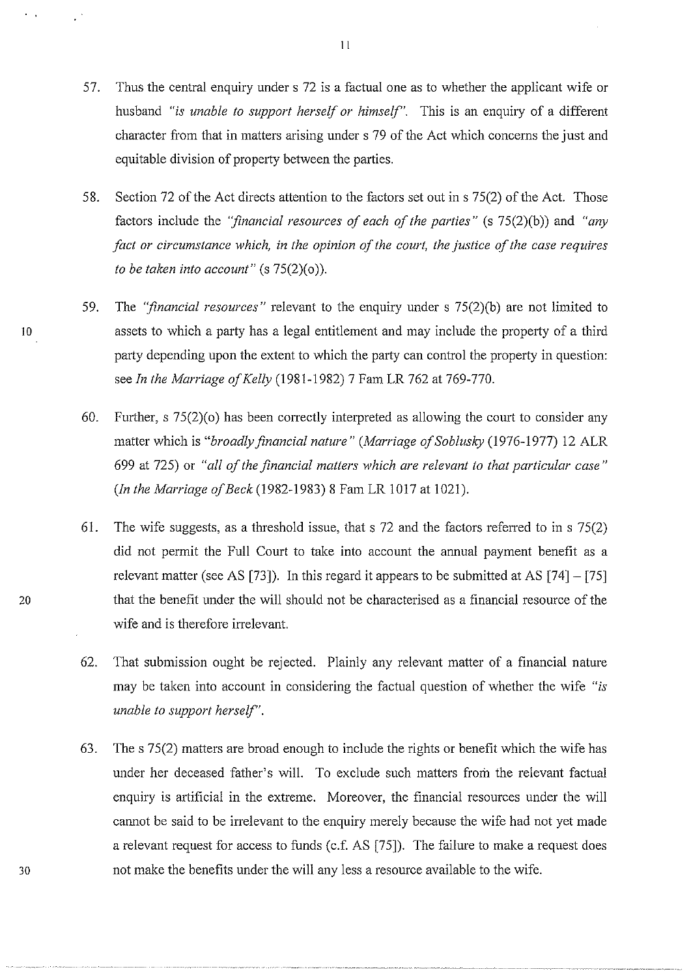- 57. Thus the central enquiry under s 72 is a factual one as to whether the applicant wife or husband *"is unable to support herself or himself".* This is an enquiry of a different character from that in matters arising under s 79 of the Act which concerns the just and equitable division of property between the parties.
- 58. Section 72 of the Act directs attention to the factors set out in s 75(2) of the Act. Those factors include the *"financial resources of each of the parties"* (s 75(2)(b)) and *"any fact or circumstance which, in the opinion of the court, the justice of the case requires to be taken into account"* (s 75(2)(o)).
- 59. The *''financial resources"* relevant to the enquiry under s 75(2)(b) are not limited to 10 assets to which a party has a legal entitlement and may include the property of a third party depending upon the extent to which the party can control the property in question: see *In the Marriage of Kelly* (1981-1982) 7 Fam LR 762 at 769-770.
	- 60. Further, s  $75(2)(o)$  has been correctly interpreted as allowing the court to consider any matter which is *"broadly financial nature" (Marriage ofSoblusky* (1976-1977) 12 ALR 699 at 725) or *"all of the financial matters which are relevant to that particular case" (In the Marriage of Beck (1982-1983) 8 Fam LR 1017 at 1021).*
	- 61. The wife suggests, as a threshold issue, that s 72 and the factors referred to ins 75(2) did not permit the Full Court to take into account the annual payment benefit as a relevant matter (see AS [73]). In this regard it appears to be submitted at AS  $[74] - [75]$ that the benefit under the will should not be characterised as a financial resource of the wife and is therefore irrelevant.

- 62. That submission ought be rejected. Plainly any relevant matter of a financial nature may be taken into account in considering the factual question of whether the wife *"is unable to support herself".*
- 63. The s 75(2) matters are broad enough to include the rights or benefit which the wife has under her deceased father's will. To exclude such matters from the relevant factual enquiry is artificial in the extreme. Moreover, the financial resources under the will cannot be said to be irrelevant to the enquiry merely because the wife had not yet made a relevant request for access to funds (c.f. AS [75]). The failure to make a request does not make the benefits under the will any less a resource available to the wife.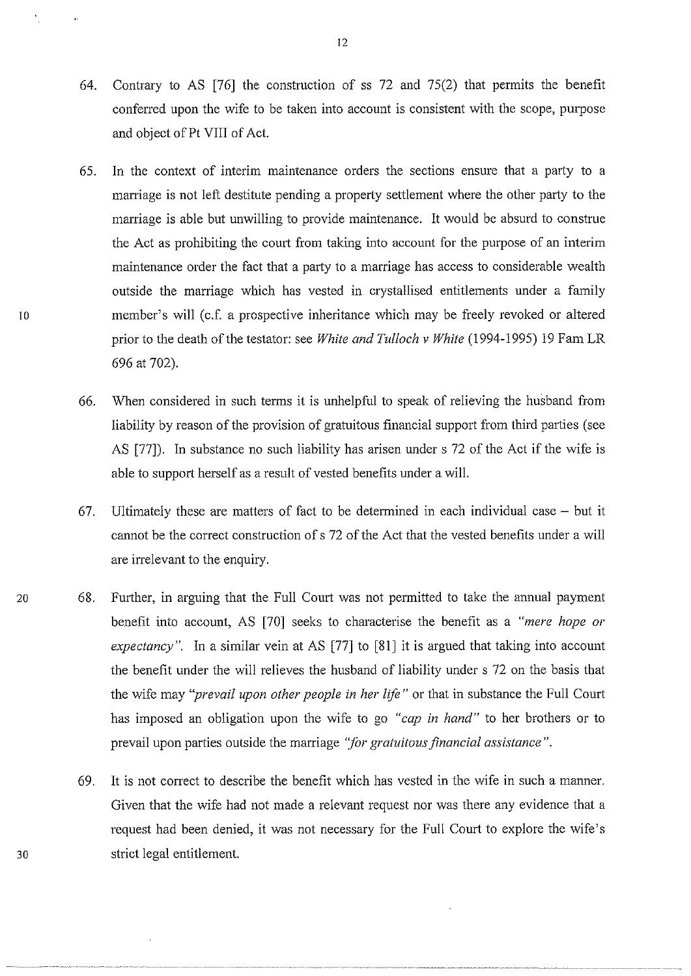- 64. Contrary to AS [76] the construction of ss 72 and 75(2) that permits the benefit conferred upon the wife to be taken into account is consistent with the scope, purpose and object of Pt VIII of Act.
- 65. In the context of interim maintenance orders the sections ensure that a party to a maniage is not left destitute pending a property settlement where the other party to the maniage is able but unwilling to provide maintenance. It would be absurd to construe the Act as prohibiting the court from taking into account for the purpose of an interim maintenance order the fact that a party to a marriage has access to considerable wealth outside the marriage which has vested in crystallised entitlements under a family 10 member's will (c.f. a prospective inheritance which may be freely revoked or altered prior to the death of the testator: see *White and Tulloch v White* (1994-1995) 19 Fam LR 696 at 702).
	- 66. When considered in such terms it is unhelpful to speak of relieving the husband from liability by reason of the provision of gratuitous financial support from third parties (see AS [77]). In substance no such liability has arisen under s 72 of the Act if the wife is able to support herself as a result of vested benefits under a will.
	- 67. Ultimately these are matters of fact to be determined in each individual case  $-$  but it cannot be the correct construction of s 72 of the Act that the vested benefits under a will are irrelevant to the enquiry.
- 20 68. Further, in arguing that the Full Court was not permitted to take the annual payment benefit into account, AS [70] seeks to characterise the benefit as a *"mere hope or expectancy*". In a similar vein at AS [77] to [81] it is argued that taking into account the benefit under the will relieves the husband of liability under s 72 on the basis that the wife may *"prevail upon other people in her life"* or that in substance the Full Court has imposed an obligation upon the wife to go *"cap in hand"* to her brothers or to prevail upon parties outside the marriage "for gratuitous financial assistance".
	- 69. It is not cmrect to describe the benefit which has vested in the wife in such a manner. Given that the wife had not made a relevant request nor was there any evidence that a request had been denied, it was not necessary for the Full Court to explore the wife's strict legal entitlement.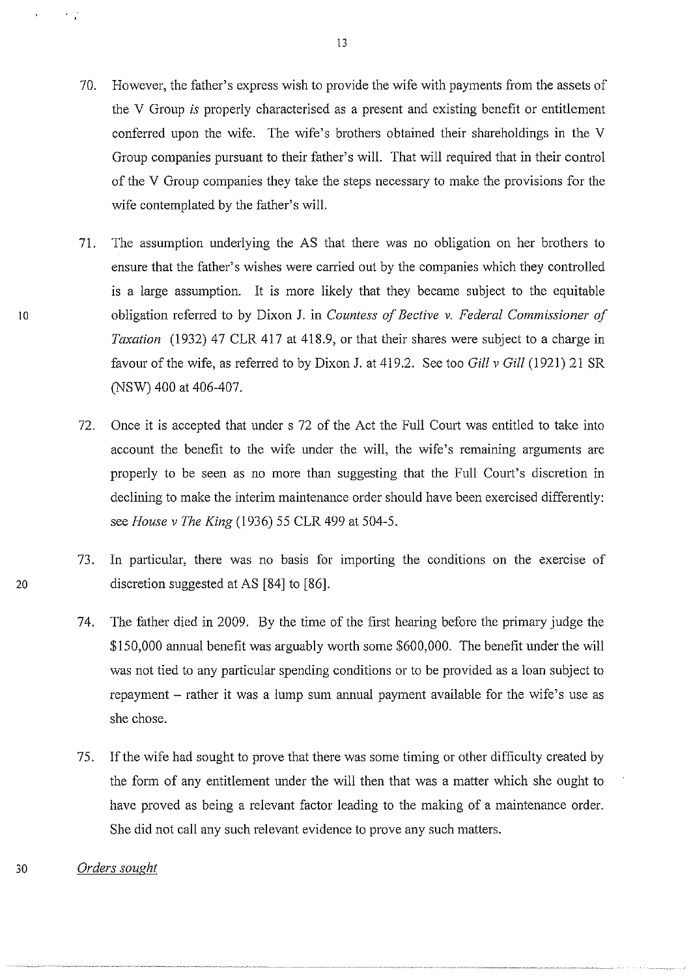- 70. However, the father's express wish to provide the wife with payments from the assets of the V Group *is* properly characterised as a present and existing benefit or entitlement conferred upon the wife. The wife's brothers obtained their shareholdings in the V Group companies pursuant to their father's will. That will required that in their control of the V Group companies they take the steps necessary to make the provisions for the wife contemplated by the father's will.
- 71. The assumption underlying the AS that there was no obligation on her brothers to ensure that the father's wishes were canied out by the companies which they controlled is a large assumption. It is more likely that they became subject to the equitable obligation referred to by Dixon J. in *Countess of Bective v. Federal Commissioner of Taxation* (1932) 47 CLR 417 at 418.9, or that their shares were subject to a charge in favour of the wife, as referred to by Dixon J. at 419 .2. See too *Gill v Gill* (1921) 21 SR (NSW) 400 at 406-407.
- 72. Once it is accepted that under s 72 of the Act the Full Court was entitled to take into account the benefit to the wife under the will, the wife's remaining arguments are properly to be seen as no more than suggesting that the Full Court's discretion in declining to make the interim maintenance order should have been exercised differently: see *House v The King* (1936) 55 CLR 499 at 504-5.
- 73. In particular, there was no basis for importing the conditions on the exercise of 20 discretion suggested at AS [84] to [86].
	- 74. The father died in 2009. By the time of the first hearing before the primary judge the \$150,000 annual benefit was arguably worth some \$600,000. The benefit under the will was not tied to any particular spending conditions or to be provided as a loan subject to repayment  $-$  rather it was a lump sum annual payment available for the wife's use as she chose.
	- 75. If the wife had sought to prove that there was some timing or other difficulty created by the form of any entitlement under the will then that was a matter which she ought to have proved as being a relevant factor leading to the making of a maintenance order. She did not call any such relevant evidence to prove any such matters.
- 30 *Orders sought*